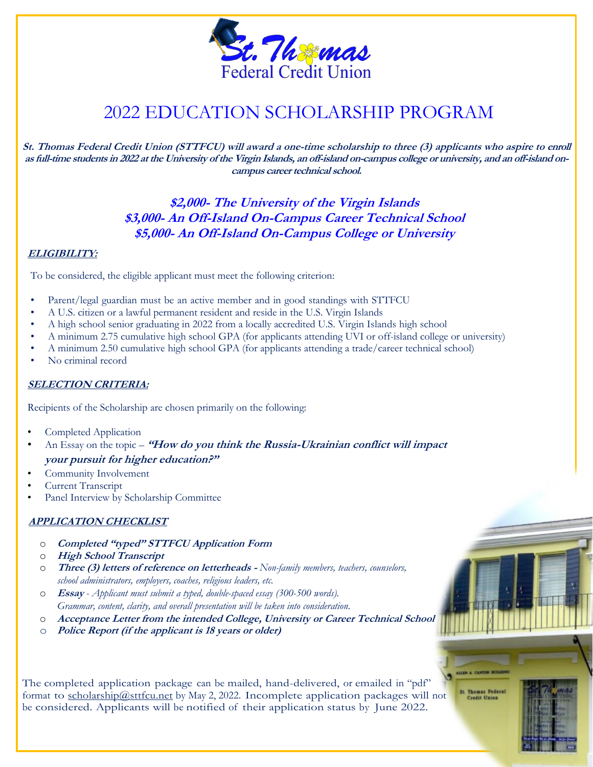

## <sup>M</sup> 2022 EDUCATION SCHOLARSHIP PROGRAM

**St. Thomas Federal Credit Union (STTFCU) will award a one-time scholarship to three (3) applicants who aspire to enroll as full-time students in 2022 at the University of the Virgin Islands, an off-island on-campus college or university, and an off-island oncampus career technical school.**

> **\$2,000- The University of the Virgin Islands \$3,000- An Off-Island On-Campus Career Technical School \$5,000- An Off-Island On-Campus College or University**

## **ELIGIBILITY:**

To be considered, the eligible applicant must meet the following criterion:

- Parent/legal guardian must be an active member and in good standings with STTFCU
- A U.S. citizen or a lawful permanent resident and reside in the U.S. Virgin Islands
- A high school senior graduating in 2022 from a locally accredited U.S. Virgin Islands high school
- A minimum 2.75 cumulative high school GPA (for applicants attending UVI or off-island college or university)
- A minimum 2.50 cumulative high school GPA (for applicants attending a trade/career technical school)
- No criminal record

## **SELECTION CRITERIA:**

Recipients of the Scholarship are chosen primarily on the following:

- Completed Application
- An Essay on the topic **"How do you think the Russia-Ukrainian conflict will impact your pursuit for higher education?"**
- Community Involvement
- Current Transcript
- Panel Interview by Scholarship Committee

## **APPLICATION CHECKLIST**

- o **Completed "typed" STTFCU Application Form**
- o **High School Transcript**
- o **Three (3) letters of reference on letterheads -** *Non-family members, teachers, counselors, school administrators, employers, coaches, religious leaders, etc.*
- o **Essay** *- Applicant must submit a typed, double-spaced essay (300-500 words). Grammar, content, clarity, and overall presentation will be taken into consideration.*
- o **Acceptance Letter from the intended College, University or Career Technical School**
- o **Police Report (if the applicant is 18 years or older)**

The completed application package can be mailed, hand-delivered, or emailed in "pdf" format to [scholarship@sttfcu.net](mailto:scholarship@sttfcu.net) by May 2, 2022. Incomplete application packages will not be considered. Applicants will be notified of their application status by June 2022.

**St. Thomas Federa**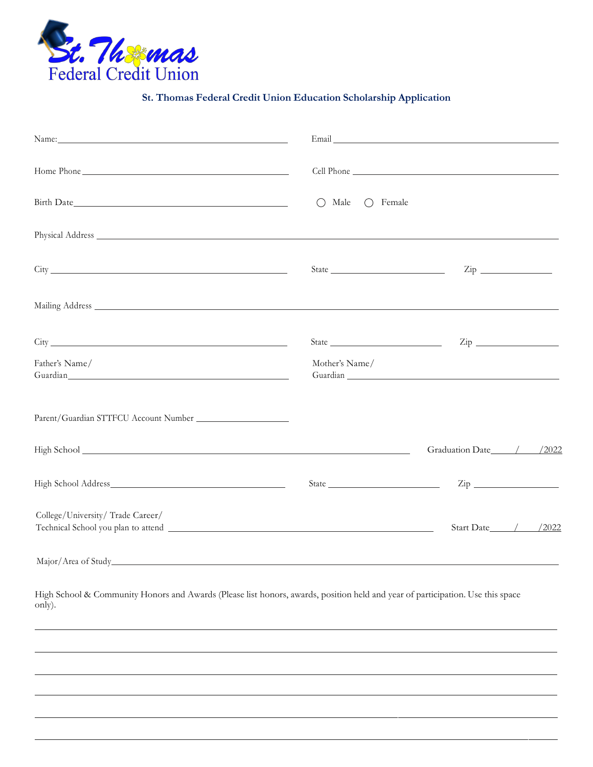

**St. Thomas Federal Credit Union Education Scholarship Application**

|                                                                                                                                                                                                                                                 |                                      | Email Land and the contract of the contract of the contract of the contract of the contract of the contract of                                                                                                                                                                                                                                                     |
|-------------------------------------------------------------------------------------------------------------------------------------------------------------------------------------------------------------------------------------------------|--------------------------------------|--------------------------------------------------------------------------------------------------------------------------------------------------------------------------------------------------------------------------------------------------------------------------------------------------------------------------------------------------------------------|
|                                                                                                                                                                                                                                                 |                                      |                                                                                                                                                                                                                                                                                                                                                                    |
|                                                                                                                                                                                                                                                 | $\bigcirc$ Male<br>$\bigcirc$ Female |                                                                                                                                                                                                                                                                                                                                                                    |
|                                                                                                                                                                                                                                                 |                                      |                                                                                                                                                                                                                                                                                                                                                                    |
|                                                                                                                                                                                                                                                 |                                      | State $\frac{1}{\sqrt{2}}$ $\frac{1}{\sqrt{2}}$ $\frac{1}{\sqrt{2}}$ $\frac{1}{\sqrt{2}}$ $\frac{1}{\sqrt{2}}$ $\frac{1}{\sqrt{2}}$ $\frac{1}{\sqrt{2}}$ $\frac{1}{\sqrt{2}}$ $\frac{1}{\sqrt{2}}$ $\frac{1}{\sqrt{2}}$ $\frac{1}{\sqrt{2}}$ $\frac{1}{\sqrt{2}}$ $\frac{1}{\sqrt{2}}$ $\frac{1}{\sqrt{2}}$ $\frac{1}{\sqrt{2}}$ $\frac{1}{\sqrt{2}}$ $\frac{1}{\$ |
|                                                                                                                                                                                                                                                 |                                      |                                                                                                                                                                                                                                                                                                                                                                    |
|                                                                                                                                                                                                                                                 |                                      | $\mathsf{Zip}$                                                                                                                                                                                                                                                                                                                                                     |
| Father's Name/<br>Guardian Constitution of the Constitution of the Constitution of the Constitution of the Constitution of the Constitution of the Constitution of the Constitution of the Constitution of the Constitution of the Constitution | Mother's Name/                       |                                                                                                                                                                                                                                                                                                                                                                    |
|                                                                                                                                                                                                                                                 |                                      |                                                                                                                                                                                                                                                                                                                                                                    |
|                                                                                                                                                                                                                                                 |                                      | Graduation Date / / /2022                                                                                                                                                                                                                                                                                                                                          |
|                                                                                                                                                                                                                                                 |                                      | $\mathsf{Zip}$                                                                                                                                                                                                                                                                                                                                                     |
| College/University/Trade Career/                                                                                                                                                                                                                |                                      | Start Date / / /2022                                                                                                                                                                                                                                                                                                                                               |

Major/Area of Study

High School & Community Honors and Awards (Please list honors, awards, position held and year of participation. Use this space only).